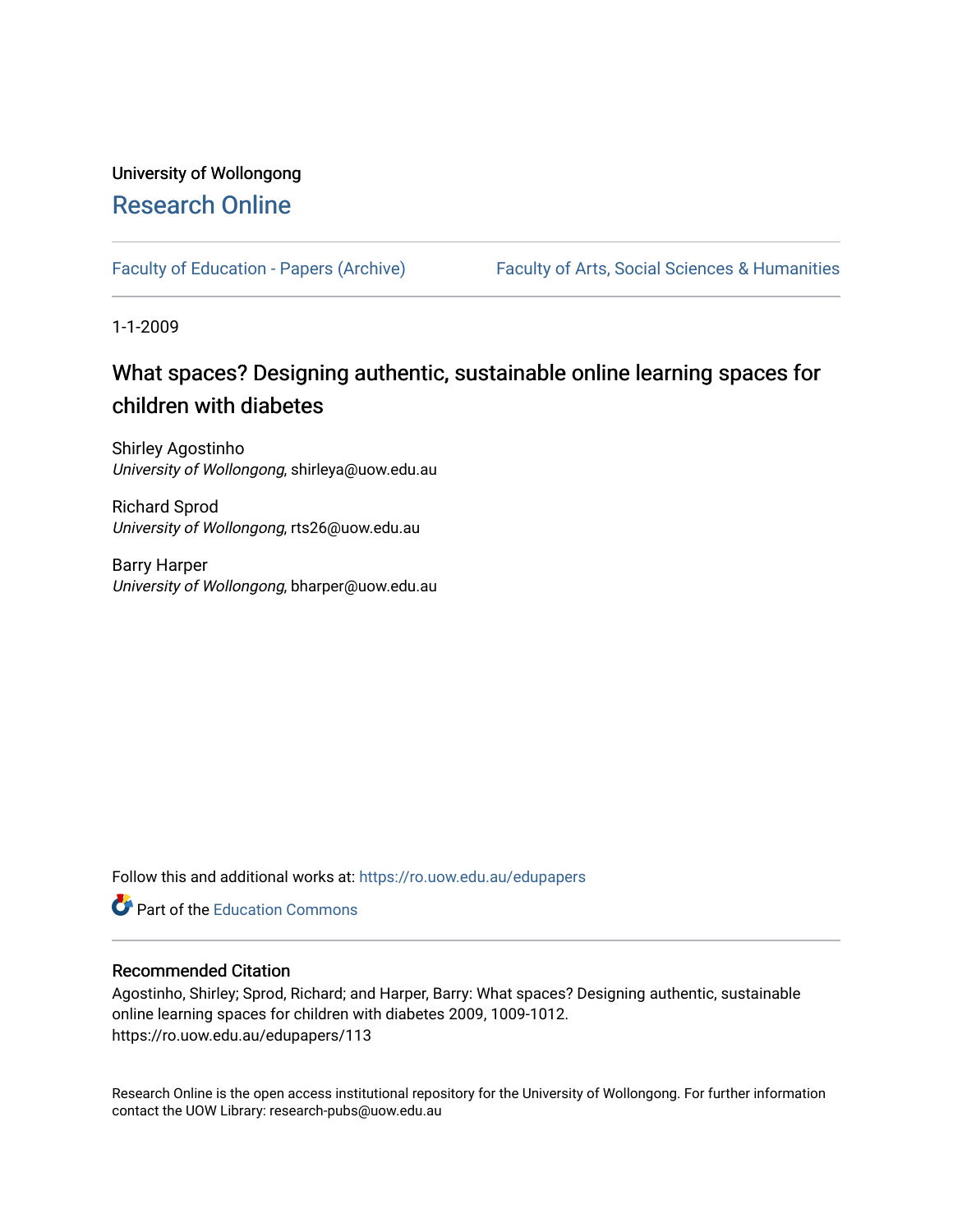## University of Wollongong [Research Online](https://ro.uow.edu.au/)

[Faculty of Education - Papers \(Archive\)](https://ro.uow.edu.au/edupapers) Faculty of Arts, Social Sciences & Humanities

1-1-2009

## What spaces? Designing authentic, sustainable online learning spaces for children with diabetes

Shirley Agostinho University of Wollongong, shirleya@uow.edu.au

Richard Sprod University of Wollongong, rts26@uow.edu.au

Barry Harper University of Wollongong, bharper@uow.edu.au

Follow this and additional works at: [https://ro.uow.edu.au/edupapers](https://ro.uow.edu.au/edupapers?utm_source=ro.uow.edu.au%2Fedupapers%2F113&utm_medium=PDF&utm_campaign=PDFCoverPages) 

**C** Part of the [Education Commons](http://network.bepress.com/hgg/discipline/784?utm_source=ro.uow.edu.au%2Fedupapers%2F113&utm_medium=PDF&utm_campaign=PDFCoverPages)

#### Recommended Citation

Agostinho, Shirley; Sprod, Richard; and Harper, Barry: What spaces? Designing authentic, sustainable online learning spaces for children with diabetes 2009, 1009-1012. https://ro.uow.edu.au/edupapers/113

Research Online is the open access institutional repository for the University of Wollongong. For further information contact the UOW Library: research-pubs@uow.edu.au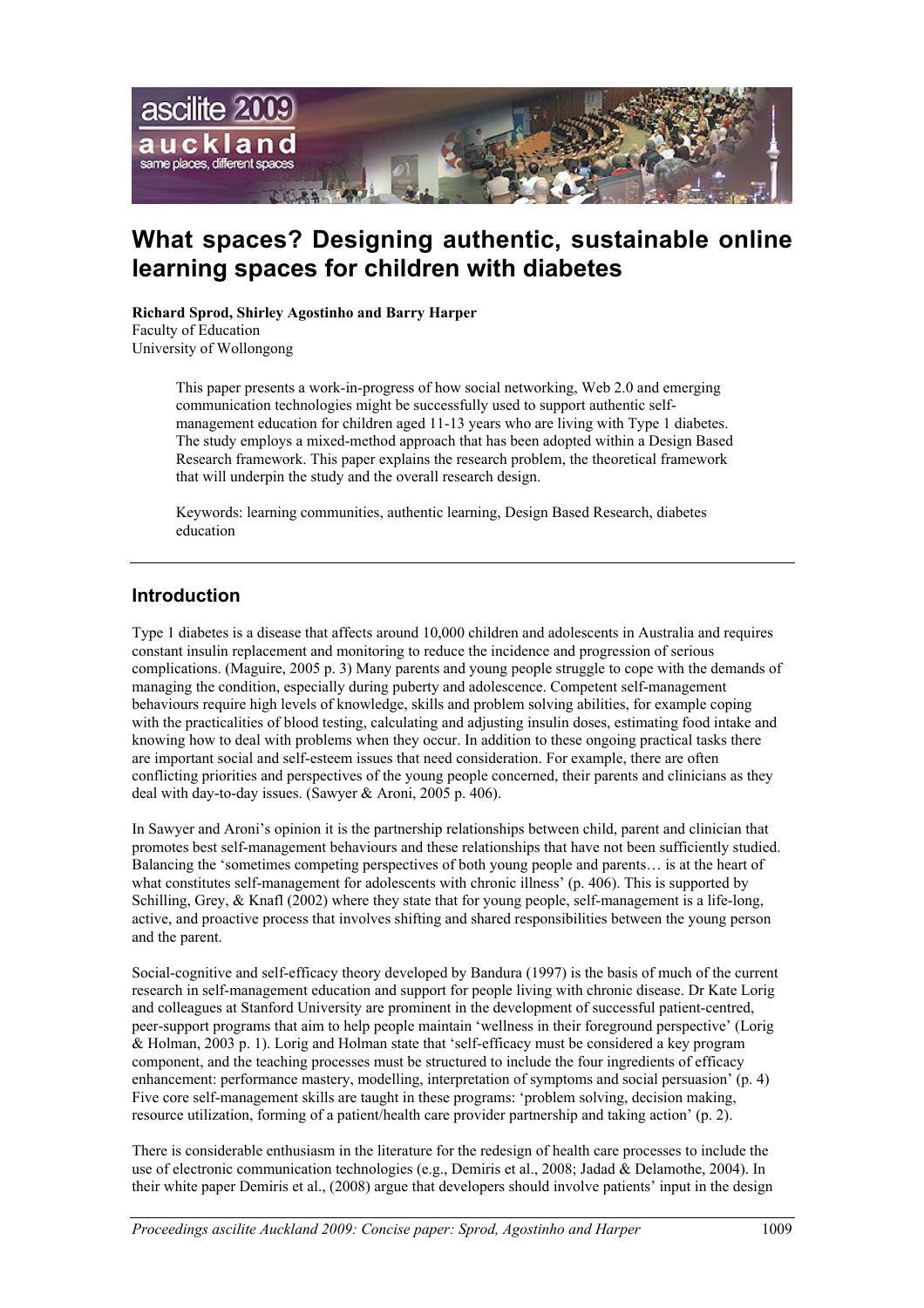

# **What spaces? Designing authentic, sustainable online learning spaces for children with diabetes**

**Richard Sprod, Shirley Agostinho and Barry Harper** Faculty of Education University of Wollongong

> This paper presents a work-in-progress of how social networking, Web 2.0 and emerging communication technologies might be successfully used to support authentic selfmanagement education for children aged 11-13 years who are living with Type 1 diabetes. The study employs a mixed-method approach that has been adopted within a Design Based Research framework. This paper explains the research problem, the theoretical framework that will underpin the study and the overall research design.

Keywords: learning communities, authentic learning, Design Based Research, diabetes education

## **Introduction**

Type 1 diabetes is a disease that affects around 10,000 children and adolescents in Australia and requires constant insulin replacement and monitoring to reduce the incidence and progression of serious complications. (Maguire, 2005 p. 3) Many parents and young people struggle to cope with the demands of managing the condition, especially during puberty and adolescence. Competent self-management behaviours require high levels of knowledge, skills and problem solving abilities, for example coping with the practicalities of blood testing, calculating and adjusting insulin doses, estimating food intake and knowing how to deal with problems when they occur. In addition to these ongoing practical tasks there are important social and self-esteem issues that need consideration. For example, there are often conflicting priorities and perspectives of the young people concerned, their parents and clinicians as they deal with day-to-day issues. (Sawyer & Aroni, 2005 p. 406).

In Sawyer and Aroni's opinion it is the partnership relationships between child, parent and clinician that promotes best self-management behaviours and these relationships that have not been sufficiently studied. Balancing the 'sometimes competing perspectives of both young people and parents… is at the heart of what constitutes self-management for adolescents with chronic illness' (p. 406). This is supported by Schilling, Grey, & Knafl (2002) where they state that for young people, self-management is a life-long, active, and proactive process that involves shifting and shared responsibilities between the young person and the parent.

Social-cognitive and self-efficacy theory developed by Bandura (1997) is the basis of much of the current research in self-management education and support for people living with chronic disease. Dr Kate Lorig and colleagues at Stanford University are prominent in the development of successful patient-centred, peer-support programs that aim to help people maintain 'wellness in their foreground perspective' (Lorig & Holman, 2003 p. 1). Lorig and Holman state that 'self-efficacy must be considered a key program component, and the teaching processes must be structured to include the four ingredients of efficacy enhancement: performance mastery, modelling, interpretation of symptoms and social persuasion' (p. 4) Five core self-management skills are taught in these programs: 'problem solving, decision making, resource utilization, forming of a patient/health care provider partnership and taking action' (p. 2).

There is considerable enthusiasm in the literature for the redesign of health care processes to include the use of electronic communication technologies (e.g., Demiris et al., 2008; Jadad & Delamothe, 2004). In their white paper Demiris et al., (2008) argue that developers should involve patients' input in the design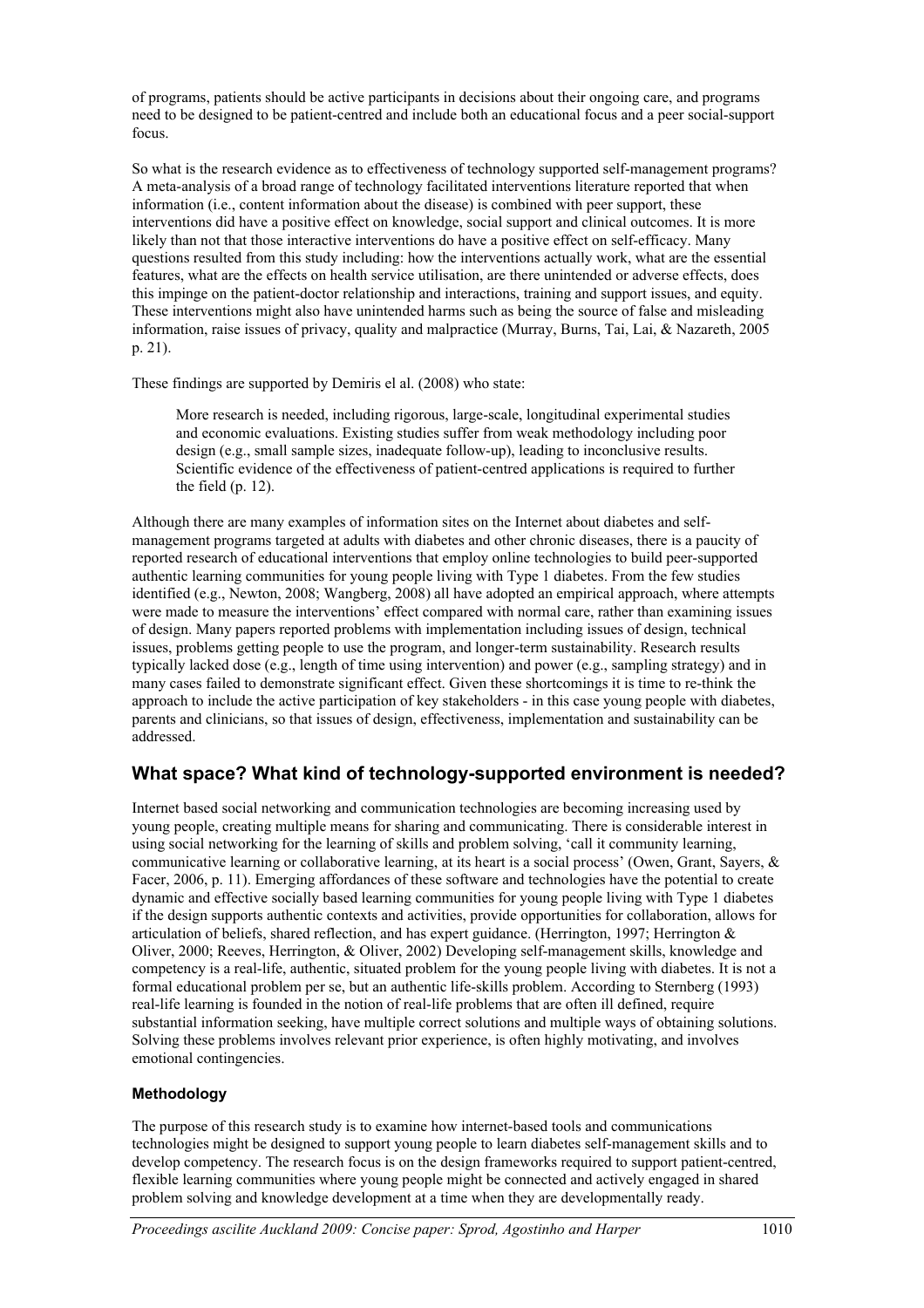of programs, patients should be active participants in decisions about their ongoing care, and programs need to be designed to be patient-centred and include both an educational focus and a peer social-support focus.

So what is the research evidence as to effectiveness of technology supported self-management programs? A meta-analysis of a broad range of technology facilitated interventions literature reported that when information (i.e., content information about the disease) is combined with peer support, these interventions did have a positive effect on knowledge, social support and clinical outcomes. It is more likely than not that those interactive interventions do have a positive effect on self-efficacy. Many questions resulted from this study including: how the interventions actually work, what are the essential features, what are the effects on health service utilisation, are there unintended or adverse effects, does this impinge on the patient-doctor relationship and interactions, training and support issues, and equity. These interventions might also have unintended harms such as being the source of false and misleading information, raise issues of privacy, quality and malpractice (Murray, Burns, Tai, Lai, & Nazareth, 2005 p. 21).

These findings are supported by Demiris el al. (2008) who state:

More research is needed, including rigorous, large-scale, longitudinal experimental studies and economic evaluations. Existing studies suffer from weak methodology including poor design (e.g., small sample sizes, inadequate follow-up), leading to inconclusive results. Scientific evidence of the effectiveness of patient-centred applications is required to further the field (p. 12).

Although there are many examples of information sites on the Internet about diabetes and selfmanagement programs targeted at adults with diabetes and other chronic diseases, there is a paucity of reported research of educational interventions that employ online technologies to build peer-supported authentic learning communities for young people living with Type 1 diabetes. From the few studies identified (e.g., Newton, 2008; Wangberg, 2008) all have adopted an empirical approach, where attempts were made to measure the interventions' effect compared with normal care, rather than examining issues of design. Many papers reported problems with implementation including issues of design, technical issues, problems getting people to use the program, and longer-term sustainability. Research results typically lacked dose (e.g., length of time using intervention) and power (e.g., sampling strategy) and in many cases failed to demonstrate significant effect. Given these shortcomings it is time to re-think the approach to include the active participation of key stakeholders - in this case young people with diabetes, parents and clinicians, so that issues of design, effectiveness, implementation and sustainability can be addressed.

## **What space? What kind of technology-supported environment is needed?**

Internet based social networking and communication technologies are becoming increasing used by young people, creating multiple means for sharing and communicating. There is considerable interest in using social networking for the learning of skills and problem solving, 'call it community learning, communicative learning or collaborative learning, at its heart is a social process' (Owen, Grant, Sayers, & Facer, 2006, p. 11). Emerging affordances of these software and technologies have the potential to create dynamic and effective socially based learning communities for young people living with Type 1 diabetes if the design supports authentic contexts and activities, provide opportunities for collaboration, allows for articulation of beliefs, shared reflection, and has expert guidance. (Herrington, 1997; Herrington & Oliver, 2000; Reeves, Herrington, & Oliver, 2002) Developing self-management skills, knowledge and competency is a real-life, authentic, situated problem for the young people living with diabetes. It is not a formal educational problem per se, but an authentic life-skills problem. According to Sternberg (1993) real-life learning is founded in the notion of real-life problems that are often ill defined, require substantial information seeking, have multiple correct solutions and multiple ways of obtaining solutions. Solving these problems involves relevant prior experience, is often highly motivating, and involves emotional contingencies.

#### **Methodology**

The purpose of this research study is to examine how internet-based tools and communications technologies might be designed to support young people to learn diabetes self-management skills and to develop competency. The research focus is on the design frameworks required to support patient-centred, flexible learning communities where young people might be connected and actively engaged in shared problem solving and knowledge development at a time when they are developmentally ready.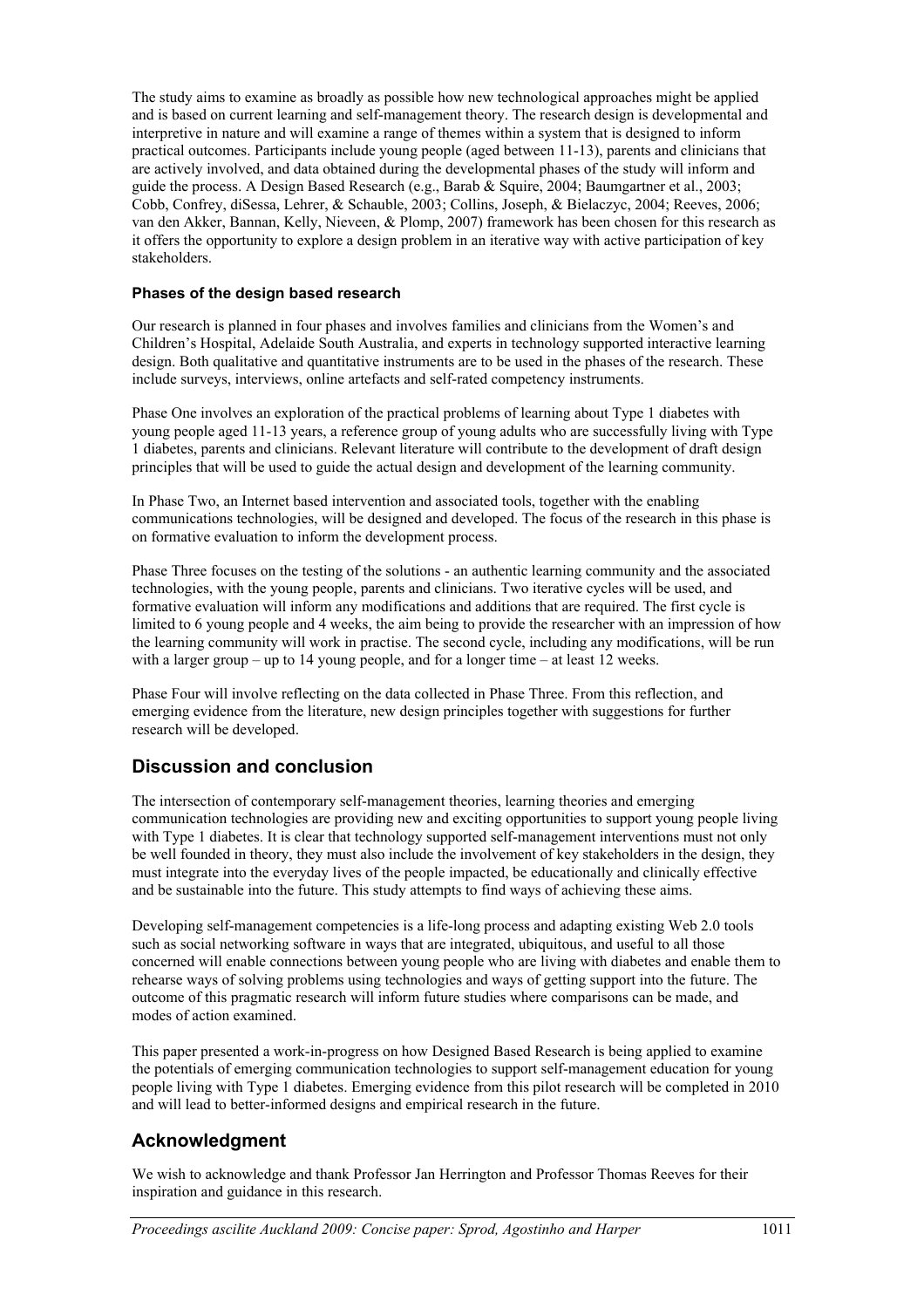The study aims to examine as broadly as possible how new technological approaches might be applied and is based on current learning and self-management theory. The research design is developmental and interpretive in nature and will examine a range of themes within a system that is designed to inform practical outcomes. Participants include young people (aged between 11-13), parents and clinicians that are actively involved, and data obtained during the developmental phases of the study will inform and guide the process. A Design Based Research (e.g., Barab & Squire, 2004; Baumgartner et al., 2003; Cobb, Confrey, diSessa, Lehrer, & Schauble, 2003; Collins, Joseph, & Bielaczyc, 2004; Reeves, 2006; van den Akker, Bannan, Kelly, Nieveen, & Plomp, 2007) framework has been chosen for this research as it offers the opportunity to explore a design problem in an iterative way with active participation of key stakeholders.

#### **Phases of the design based research**

Our research is planned in four phases and involves families and clinicians from the Women's and Children's Hospital, Adelaide South Australia, and experts in technology supported interactive learning design. Both qualitative and quantitative instruments are to be used in the phases of the research. These include surveys, interviews, online artefacts and self-rated competency instruments.

Phase One involves an exploration of the practical problems of learning about Type 1 diabetes with young people aged 11-13 years, a reference group of young adults who are successfully living with Type 1 diabetes, parents and clinicians. Relevant literature will contribute to the development of draft design principles that will be used to guide the actual design and development of the learning community.

In Phase Two, an Internet based intervention and associated tools, together with the enabling communications technologies, will be designed and developed. The focus of the research in this phase is on formative evaluation to inform the development process.

Phase Three focuses on the testing of the solutions - an authentic learning community and the associated technologies, with the young people, parents and clinicians. Two iterative cycles will be used, and formative evaluation will inform any modifications and additions that are required. The first cycle is limited to 6 young people and 4 weeks, the aim being to provide the researcher with an impression of how the learning community will work in practise. The second cycle, including any modifications, will be run with a larger group – up to 14 young people, and for a longer time – at least 12 weeks.

Phase Four will involve reflecting on the data collected in Phase Three. From this reflection, and emerging evidence from the literature, new design principles together with suggestions for further research will be developed.

## **Discussion and conclusion**

The intersection of contemporary self-management theories, learning theories and emerging communication technologies are providing new and exciting opportunities to support young people living with Type 1 diabetes. It is clear that technology supported self-management interventions must not only be well founded in theory, they must also include the involvement of key stakeholders in the design, they must integrate into the everyday lives of the people impacted, be educationally and clinically effective and be sustainable into the future. This study attempts to find ways of achieving these aims.

Developing self-management competencies is a life-long process and adapting existing Web 2.0 tools such as social networking software in ways that are integrated, ubiquitous, and useful to all those concerned will enable connections between young people who are living with diabetes and enable them to rehearse ways of solving problems using technologies and ways of getting support into the future. The outcome of this pragmatic research will inform future studies where comparisons can be made, and modes of action examined.

This paper presented a work-in-progress on how Designed Based Research is being applied to examine the potentials of emerging communication technologies to support self-management education for young people living with Type 1 diabetes. Emerging evidence from this pilot research will be completed in 2010 and will lead to better-informed designs and empirical research in the future.

## **Acknowledgment**

We wish to acknowledge and thank Professor Jan Herrington and Professor Thomas Reeves for their inspiration and guidance in this research.